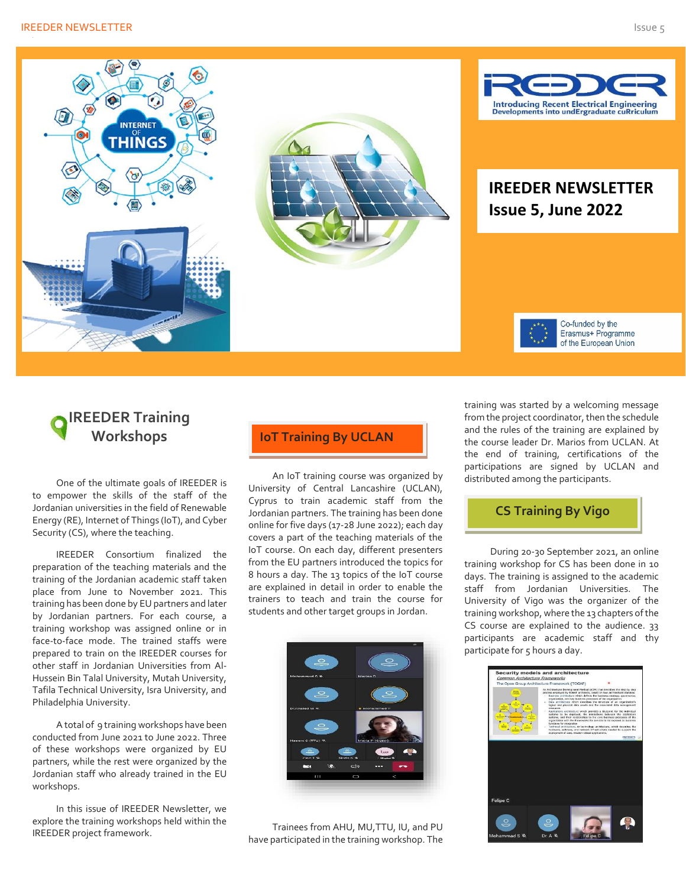#### **IREEDER NEWSLETTER** SUITE SERVICE STATES AND ISSUE 5 ISSUE 5



# **IREEDER Training Workshops**

One of the ultimate goals of IREEDER is to empower the skills of the staff of the Jordanian universities in the field of Renewable Energy (RE), Internet of Things (IoT), and Cyber Security (CS), where the teaching.

IREEDER Consortium finalized the preparation of the teaching materials and the training of the Jordanian academic staff taken place from June to November 2021. This training has been done by EU partners and later by Jordanian partners. For each course, a training workshop was assigned online or in face-to-face mode. The trained staffs were prepared to train on the IREEDER courses for other staff in Jordanian Universities from Al-Hussein Bin Talal University, Mutah University, Tafila Technical University, Isra University, and Philadelphia University.

A total of 9 training workshops have been conducted from June 2021 to June 2022. Three of these workshops were organized by EU partners, while the rest were organized by the Jordanian staff who already trained in the EU workshops.

In this issue of IREEDER Newsletter, we explore the training workshops held within the IREEDER project framework.

#### **IoT Training By UCLAN**

An IoT training course was organized by University of Central Lancashire (UCLAN), Cyprus to train academic staff from the Jordanian partners. The training has been done online for five days (17-28 June 2022); each day covers a part of the teaching materials of the IoT course. On each day, different presenters from the EU partners introduced the topics for 8 hours a day. The 13 topics of the IoT course are explained in detail in order to enable the trainers to teach and train the course for students and other target groups in Jordan.



Trainees from AHU, MU,TTU, IU, and PU have participated in the training workshop. The training was started by a welcoming message from the project coordinator, then the schedule and the rules of the training are explained by the course leader Dr. Marios from UCLAN. At the end of training, certifications of the participations are signed by UCLAN and distributed among the participants.

# **CS Training By Vigo**

During 20-30 September 2021, an online training workshop for CS has been done in 10 days. The training is assigned to the academic staff from Jordanian Universities. The University of Vigo was the organizer of the training workshop, where the 13 chapters of the CS course are explained to the audience. 33 participants are academic staff and thy participate for 5 hours a day.

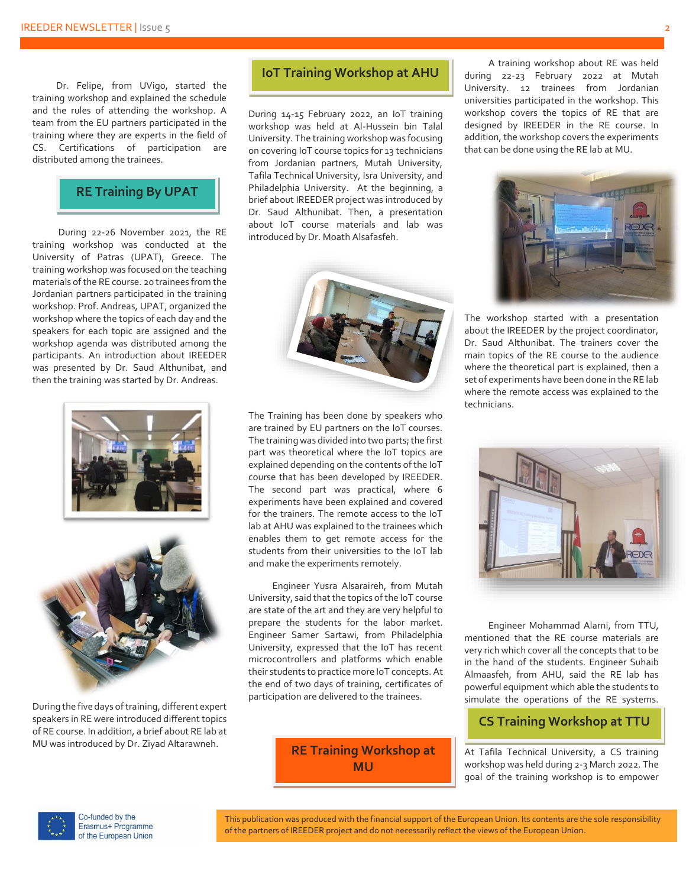Dr. Felipe, from UVigo, started the training workshop and explained the schedule and the rules of attending the workshop. A team from the EU partners participated in the training where they are experts in the field of CS. Certifications of participation are distributed among the trainees.

# **RE Training By UPAT**

During 22-26 November 2021, the RE training workshop was conducted at the University of Patras (UPAT), Greece. The training workshop was focused on the teaching materials of the RE course. 20 trainees from the Jordanian partners participated in the training workshop. Prof. Andreas, UPAT, organized the workshop where the topics of each day and the speakers for each topic are assigned and the workshop agenda was distributed among the participants. An introduction about IREEDER was presented by Dr. Saud Althunibat, and then the training was started by Dr. Andreas.





During the five days of training, different expert speakers in RE were introduced different topics of RE course. In addition, a brief about RE lab at MU was introduced by Dr. Ziyad Altarawneh.

# **IoT Training Workshop at AHU**

During 14-15 February 2022, an IoT training workshop was held at Al-Hussein bin Talal University. The training workshop was focusing on covering IoT course topics for 13 technicians from Jordanian partners, Mutah University, Tafila Technical University, Isra University, and Philadelphia University. At the beginning, a brief about IREEDER project was introduced by Dr. Saud Althunibat. Then, a presentation about IoT course materials and lab was introduced by Dr. Moath Alsafasfeh.



The Training has been done by speakers who are trained by EU partners on the IoT courses. The training was divided into two parts; the first part was theoretical where the IoT topics are explained depending on the contents of the IoT course that has been developed by IREEDER. The second part was practical, where 6 experiments have been explained and covered for the trainers. The remote access to the IoT lab at AHU was explained to the trainees which enables them to get remote access for the students from their universities to the IoT lab and make the experiments remotely.

Engineer Yusra Alsaraireh, from Mutah University, said that the topics of the IoT course are state of the art and they are very helpful to prepare the students for the labor market. Engineer Samer Sartawi, from Philadelphia University, expressed that the IoT has recent microcontrollers and platforms which enable their students to practice more IoT concepts.At the end of two days of training, certificates of participation are delivered to the trainees.

> **RE Training Workshop at MU**

A training workshop about RE was held during 22-23 February 2022 at Mutah University. 12 trainees from Jordanian universities participated in the workshop. This workshop covers the topics of RE that are designed by IREEDER in the RE course. In addition, the workshop covers the experiments that can be done using the RE lab at MU.



The workshop started with a presentation about the IREEDER by the project coordinator, Dr. Saud Althunibat. The trainers cover the main topics of the RE course to the audience where the theoretical part is explained, then a set of experiments have been done in the RE lab where the remote access was explained to the technicians.



Engineer Mohammad Alarni, from TTU, mentioned that the RE course materials are very rich which cover all the concepts that to be in the hand of the students. Engineer Suhaib Almaasfeh, from AHU, said the RE lab has powerful equipment which able the students to simulate the operations of the RE systems.

#### **CS Training Workshop at TTU**

At Tafila Technical University, a CS training workshop was held during 2-3 March 2022. The goal of the training workshop is to empower



Co-funded by the Erasmus+ Programme of the European Union

This publication was produced with the financial support of the European Union. Its contents are the sole responsibility of the partners of IREEDER project and do not necessarily reflect the views of the European Union.